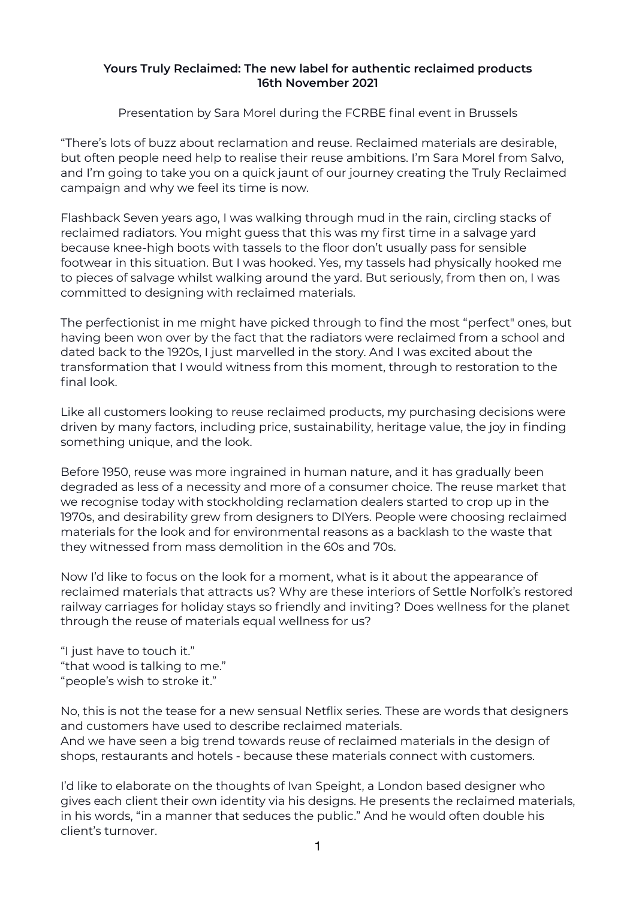## **Yours Truly Reclaimed: The new label for authentic reclaimed products 16th November 2021**

Presentation by Sara Morel during the FCRBE final event in Brussels

"There's lots of buzz about reclamation and reuse. Reclaimed materials are desirable, but often people need help to realise their reuse ambitions. I'm Sara Morel from Salvo, and I'm going to take you on a quick jaunt of our journey creating the Truly Reclaimed campaign and why we feel its time is now.

Flashback Seven years ago, I was walking through mud in the rain, circling stacks of reclaimed radiators. You might guess that this was my first time in a salvage yard because knee-high boots with tassels to the floor don't usually pass for sensible footwear in this situation. But I was hooked. Yes, my tassels had physically hooked me to pieces of salvage whilst walking around the yard. But seriously, from then on, I was committed to designing with reclaimed materials.

The perfectionist in me might have picked through to find the most "perfect" ones, but having been won over by the fact that the radiators were reclaimed from a school and dated back to the 1920s, I just marvelled in the story. And I was excited about the transformation that I would witness from this moment, through to restoration to the final look.

Like all customers looking to reuse reclaimed products, my purchasing decisions were driven by many factors, including price, sustainability, heritage value, the joy in finding something unique, and the look.

Before 1950, reuse was more ingrained in human nature, and it has gradually been degraded as less of a necessity and more of a consumer choice. The reuse market that we recognise today with stockholding reclamation dealers started to crop up in the 1970s, and desirability grew from designers to DIYers. People were choosing reclaimed materials for the look and for environmental reasons as a backlash to the waste that they witnessed from mass demolition in the 60s and 70s.

Now I'd like to focus on the look for a moment, what is it about the appearance of reclaimed materials that attracts us? Why are these interiors of Settle Norfolk's restored railway carriages for holiday stays so friendly and inviting? Does wellness for the planet through the reuse of materials equal wellness for us?

"I just have to touch it." "that wood is talking to me." "people's wish to stroke it."

No, this is not the tease for a new sensual Netflix series. These are words that designers and customers have used to describe reclaimed materials. And we have seen a big trend towards reuse of reclaimed materials in the design of shops, restaurants and hotels - because these materials connect with customers.

I'd like to elaborate on the thoughts of Ivan Speight, a London based designer who gives each client their own identity via his designs. He presents the reclaimed materials, in his words, "in a manner that seduces the public." And he would often double his client's turnover.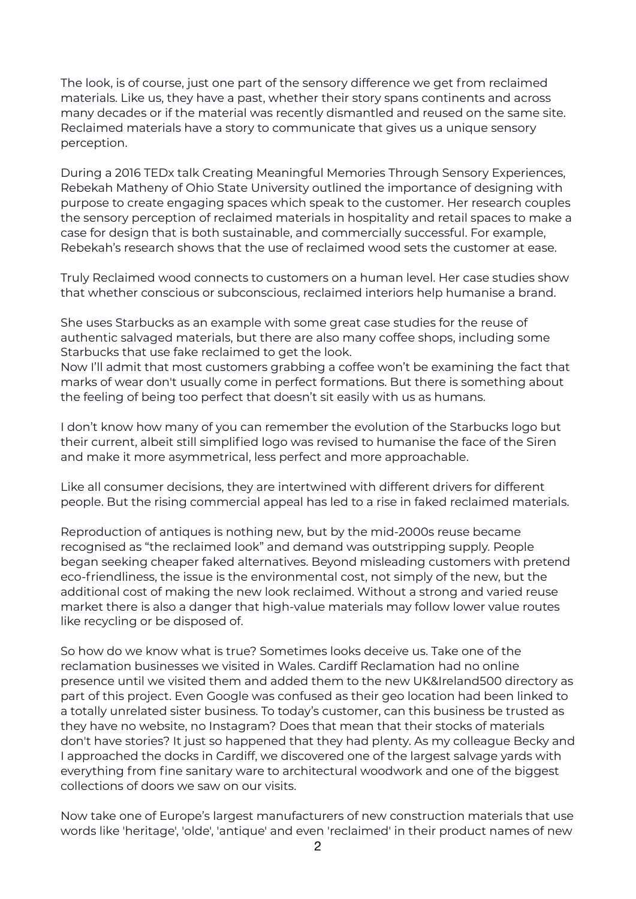The look, is of course, just one part of the sensory difference we get from reclaimed materials. Like us, they have a past, whether their story spans continents and across many decades or if the material was recently dismantled and reused on the same site. Reclaimed materials have a story to communicate that gives us a unique sensory perception.

During a 2016 TEDx talk Creating Meaningful Memories Through Sensory Experiences, Rebekah Matheny of Ohio State University outlined the importance of designing with purpose to create engaging spaces which speak to the customer. Her research couples the sensory perception of reclaimed materials in hospitality and retail spaces to make a case for design that is both sustainable, and commercially successful. For example, Rebekah's research shows that the use of reclaimed wood sets the customer at ease.

Truly Reclaimed wood connects to customers on a human level. Her case studies show that whether conscious or subconscious, reclaimed interiors help humanise a brand.

She uses Starbucks as an example with some great case studies for the reuse of authentic salvaged materials, but there are also many coffee shops, including some Starbucks that use fake reclaimed to get the look.

Now I'll admit that most customers grabbing a coffee won't be examining the fact that marks of wear don't usually come in perfect formations. But there is something about the feeling of being too perfect that doesn't sit easily with us as humans.

I don't know how many of you can remember the evolution of the Starbucks logo but their current, albeit still simplified logo was revised to humanise the face of the Siren and make it more asymmetrical, less perfect and more approachable.

Like all consumer decisions, they are intertwined with different drivers for different people. But the rising commercial appeal has led to a rise in faked reclaimed materials.

Reproduction of antiques is nothing new, but by the mid-2000s reuse became recognised as "the reclaimed look" and demand was outstripping supply. People began seeking cheaper faked alternatives. Beyond misleading customers with pretend eco-friendliness, the issue is the environmental cost, not simply of the new, but the additional cost of making the new look reclaimed. Without a strong and varied reuse market there is also a danger that high-value materials may follow lower value routes like recycling or be disposed of.

So how do we know what is true? Sometimes looks deceive us. Take one of the reclamation businesses we visited in Wales. Cardiff Reclamation had no online presence until we visited them and added them to the new UK&Ireland500 directory as part of this project. Even Google was confused as their geo location had been linked to a totally unrelated sister business. To today's customer, can this business be trusted as they have no website, no Instagram? Does that mean that their stocks of materials don't have stories? It just so happened that they had plenty. As my colleague Becky and I approached the docks in Cardiff, we discovered one of the largest salvage yards with everything from fine sanitary ware to architectural woodwork and one of the biggest collections of doors we saw on our visits.

Now take one of Europe's largest manufacturers of new construction materials that use words like 'heritage', 'olde', 'antique' and even 'reclaimed' in their product names of new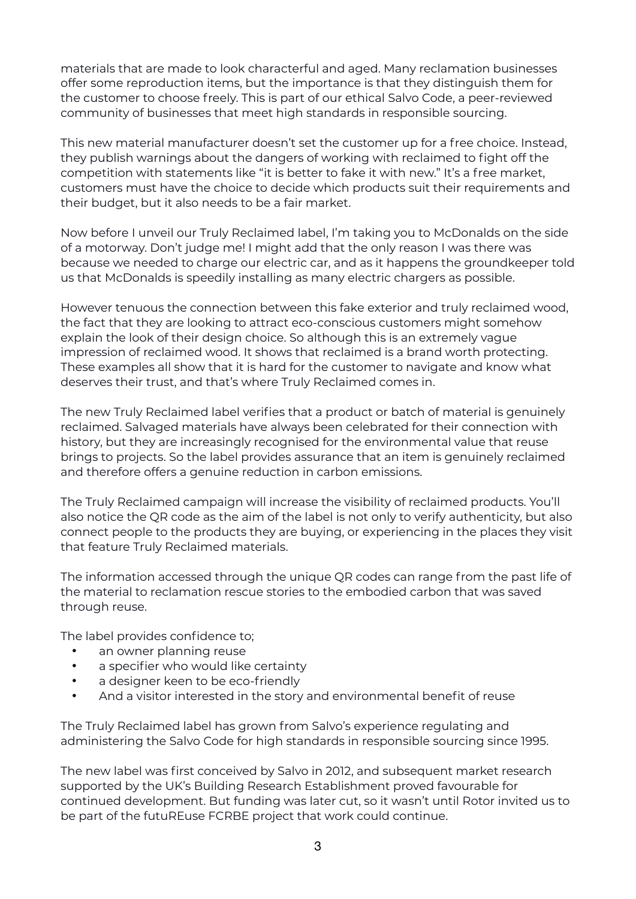materials that are made to look characterful and aged. Many reclamation businesses offer some reproduction items, but the importance is that they distinguish them for the customer to choose freely. This is part of our ethical Salvo Code, a peer-reviewed community of businesses that meet high standards in responsible sourcing.

This new material manufacturer doesn't set the customer up for a free choice. Instead, they publish warnings about the dangers of working with reclaimed to fight off the competition with statements like "it is better to fake it with new." It's a free market, customers must have the choice to decide which products suit their requirements and their budget, but it also needs to be a fair market.

Now before I unveil our Truly Reclaimed label, I'm taking you to McDonalds on the side of a motorway. Don't judge me! I might add that the only reason I was there was because we needed to charge our electric car, and as it happens the groundkeeper told us that McDonalds is speedily installing as many electric chargers as possible.

However tenuous the connection between this fake exterior and truly reclaimed wood, the fact that they are looking to attract eco-conscious customers might somehow explain the look of their design choice. So although this is an extremely vague impression of reclaimed wood. It shows that reclaimed is a brand worth protecting. These examples all show that it is hard for the customer to navigate and know what deserves their trust, and that's where Truly Reclaimed comes in.

The new Truly Reclaimed label verifies that a product or batch of material is genuinely reclaimed. Salvaged materials have always been celebrated for their connection with history, but they are increasingly recognised for the environmental value that reuse brings to projects. So the label provides assurance that an item is genuinely reclaimed and therefore offers a genuine reduction in carbon emissions.

The Truly Reclaimed campaign will increase the visibility of reclaimed products. You'll also notice the QR code as the aim of the label is not only to verify authenticity, but also connect people to the products they are buying, or experiencing in the places they visit that feature Truly Reclaimed materials.

The information accessed through the unique QR codes can range from the past life of the material to reclamation rescue stories to the embodied carbon that was saved through reuse.

The label provides confidence to;

- an owner planning reuse
- a specifier who would like certainty
- a designer keen to be eco-friendly
- And a visitor interested in the story and environmental benefit of reuse

The Truly Reclaimed label has grown from Salvo's experience regulating and administering the Salvo Code for high standards in responsible sourcing since 1995.

The new label was first conceived by Salvo in 2012, and subsequent market research supported by the UK's Building Research Establishment proved favourable for continued development. But funding was later cut, so it wasn't until Rotor invited us to be part of the futuREuse FCRBE project that work could continue.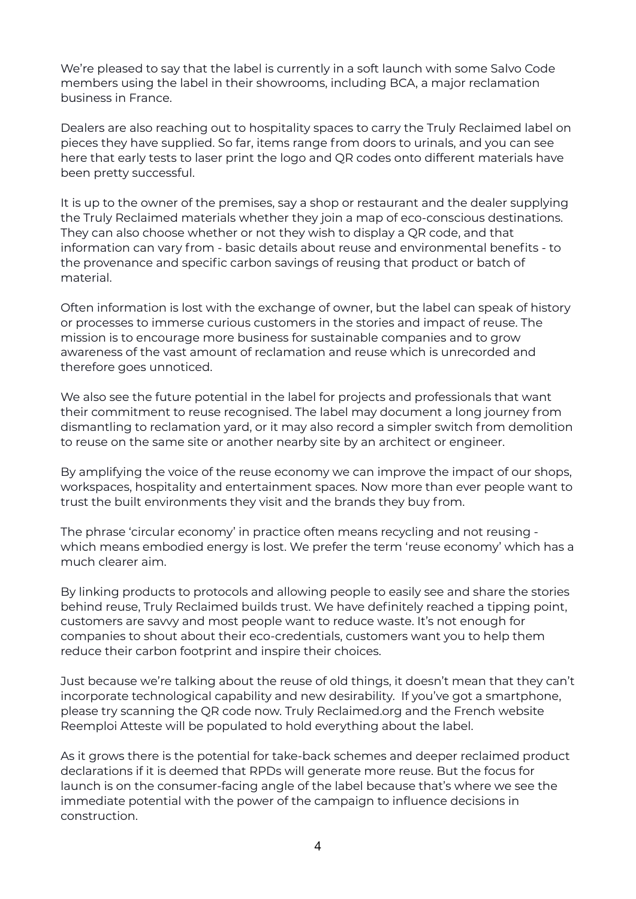We're pleased to say that the label is currently in a soft launch with some Salvo Code members using the label in their showrooms, including BCA, a major reclamation business in France.

Dealers are also reaching out to hospitality spaces to carry the Truly Reclaimed label on pieces they have supplied. So far, items range from doors to urinals, and you can see here that early tests to laser print the logo and QR codes onto different materials have been pretty successful.

It is up to the owner of the premises, say a shop or restaurant and the dealer supplying the Truly Reclaimed materials whether they join a map of eco-conscious destinations. They can also choose whether or not they wish to display a QR code, and that information can vary from - basic details about reuse and environmental benefits - to the provenance and specific carbon savings of reusing that product or batch of material.

Often information is lost with the exchange of owner, but the label can speak of history or processes to immerse curious customers in the stories and impact of reuse. The mission is to encourage more business for sustainable companies and to grow awareness of the vast amount of reclamation and reuse which is unrecorded and therefore goes unnoticed.

We also see the future potential in the label for projects and professionals that want their commitment to reuse recognised. The label may document a long journey from dismantling to reclamation yard, or it may also record a simpler switch from demolition to reuse on the same site or another nearby site by an architect or engineer.

By amplifying the voice of the reuse economy we can improve the impact of our shops, workspaces, hospitality and entertainment spaces. Now more than ever people want to trust the built environments they visit and the brands they buy from.

The phrase 'circular economy' in practice often means recycling and not reusing which means embodied energy is lost. We prefer the term 'reuse economy' which has a much clearer aim.

By linking products to protocols and allowing people to easily see and share the stories behind reuse, Truly Reclaimed builds trust. We have definitely reached a tipping point, customers are savvy and most people want to reduce waste. It's not enough for companies to shout about their eco-credentials, customers want you to help them reduce their carbon footprint and inspire their choices.

Just because we're talking about the reuse of old things, it doesn't mean that they can't incorporate technological capability and new desirability. If you've got a smartphone, please try scanning the QR code now. Truly Reclaimed.org and the French website Reemploi Atteste will be populated to hold everything about the label.

As it grows there is the potential for take-back schemes and deeper reclaimed product declarations if it is deemed that RPDs will generate more reuse. But the focus for launch is on the consumer-facing angle of the label because that's where we see the immediate potential with the power of the campaign to influence decisions in construction.